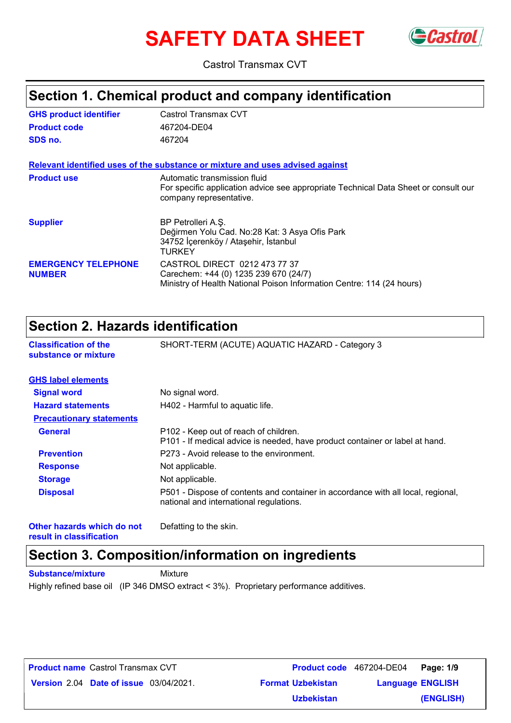# **SAFETY DATA SHEET** GCastrol



Castrol Transmax CVT

### **Section 1. Chemical product and company identification**

| <b>GHS product identifier</b>               | Castrol Transmax CVT                                                                                                                            |
|---------------------------------------------|-------------------------------------------------------------------------------------------------------------------------------------------------|
| <b>Product code</b>                         | 467204-DE04                                                                                                                                     |
| SDS no.                                     | 467204                                                                                                                                          |
|                                             | Relevant identified uses of the substance or mixture and uses advised against                                                                   |
| <b>Product use</b>                          | Automatic transmission fluid<br>For specific application advice see appropriate Technical Data Sheet or consult our<br>company representative.  |
| <b>Supplier</b>                             | BP Petrolleri A.S.<br>Değirmen Yolu Cad. No:28 Kat: 3 Asya Ofis Park<br>34752 İçerenköy / Ataşehir, İstanbul<br>TURKEY                          |
| <b>EMERGENCY TELEPHONE</b><br><b>NUMBER</b> | CASTROL DIRECT 0212 473 77 37<br>Carechem: +44 (0) 1235 239 670 (24/7)<br>Ministry of Health National Poison Information Centre: 114 (24 hours) |

### **Section 2. Hazards identification**

| <b>Classification of the</b>    | SHORT-TERM (ACUTE) AQUATIC HAZARD - Category 3                                                                              |
|---------------------------------|-----------------------------------------------------------------------------------------------------------------------------|
| substance or mixture            |                                                                                                                             |
| <b>GHS label elements</b>       |                                                                                                                             |
| <b>Signal word</b>              | No signal word.                                                                                                             |
| <b>Hazard statements</b>        | H402 - Harmful to aquatic life.                                                                                             |
| <b>Precautionary statements</b> |                                                                                                                             |
| <b>General</b>                  | P102 - Keep out of reach of children.<br>P101 - If medical advice is needed, have product container or label at hand.       |
| <b>Prevention</b>               | P273 - Avoid release to the environment.                                                                                    |
| <b>Response</b>                 | Not applicable.                                                                                                             |
| <b>Storage</b>                  | Not applicable.                                                                                                             |
| <b>Disposal</b>                 | P501 - Dispose of contents and container in accordance with all local, regional,<br>national and international regulations. |

**Other hazards which do not result in classification**

Defatting to the skin.

### **Section 3. Composition/information on ingredients**

**Substance/mixture Mixture** 

Highly refined base oil (IP 346 DMSO extract < 3%). Proprietary performance additives.

| <b>Product name Castrol Transmax CVT</b>      |  |                          | <b>Product code</b> 467204-DE04 Page: 1/9 |           |
|-----------------------------------------------|--|--------------------------|-------------------------------------------|-----------|
| <b>Version 2.04 Date of issue 03/04/2021.</b> |  | <b>Format Uzbekistan</b> | <b>Language ENGLISH</b>                   |           |
|                                               |  | <b>Uzbekistan</b>        |                                           | (ENGLISH) |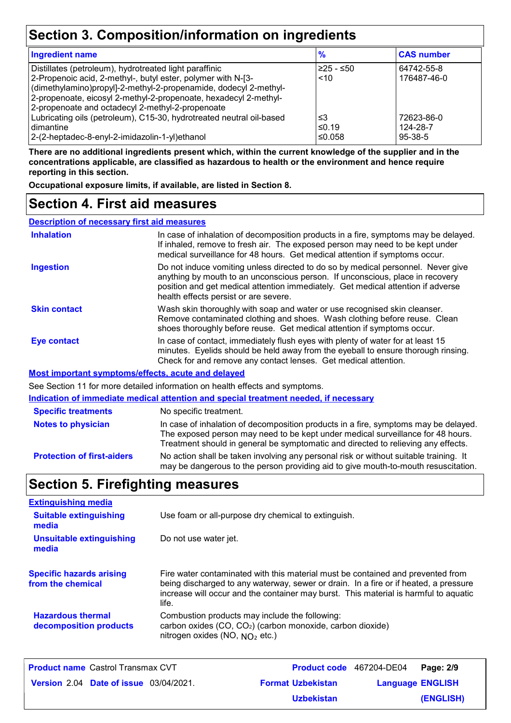### **Section 3. Composition/information on ingredients**

| <b>Ingredient name</b>                                               | $\frac{9}{6}$ | <b>CAS number</b> |
|----------------------------------------------------------------------|---------------|-------------------|
| Distillates (petroleum), hydrotreated light paraffinic               | $≥25 - ≤50$   | 64742-55-8        |
| 2-Propenoic acid, 2-methyl-, butyl ester, polymer with N-[3-         | ~10           | 176487-46-0       |
| (dimethylamino)propyl]-2-methyl-2-propenamide, dodecyl 2-methyl-     |               |                   |
| 2-propenoate, eicosyl 2-methyl-2-propenoate, hexadecyl 2-methyl-     |               |                   |
| 2-propenoate and octadecyl 2-methyl-2-propenoate                     |               |                   |
| Lubricating oils (petroleum), C15-30, hydrotreated neutral oil-based | ≤3            | 72623-86-0        |
| l dimantine                                                          | ≤0.19         | 124-28-7          |
| 2-(2-heptadec-8-enyl-2-imidazolin-1-yl)ethanol                       | ≤0.058        | $95-38-5$         |

**There are no additional ingredients present which, within the current knowledge of the supplier and in the concentrations applicable, are classified as hazardous to health or the environment and hence require reporting in this section.**

**Occupational exposure limits, if available, are listed in Section 8.**

### **Section 4. First aid measures**

**Description of necessary first aid measures**

| <b>Inhalation</b>          | In case of inhalation of decomposition products in a fire, symptoms may be delayed.<br>If inhaled, remove to fresh air. The exposed person may need to be kept under<br>medical surveillance for 48 hours. Get medical attention if symptoms occur.                                            |
|----------------------------|------------------------------------------------------------------------------------------------------------------------------------------------------------------------------------------------------------------------------------------------------------------------------------------------|
| <b>Ingestion</b>           | Do not induce vomiting unless directed to do so by medical personnel. Never give<br>anything by mouth to an unconscious person. If unconscious, place in recovery<br>position and get medical attention immediately. Get medical attention if adverse<br>health effects persist or are severe. |
| <b>Skin contact</b>        | Wash skin thoroughly with soap and water or use recognised skin cleanser.<br>Remove contaminated clothing and shoes. Wash clothing before reuse. Clean<br>shoes thoroughly before reuse. Get medical attention if symptoms occur.                                                              |
| <b>Eye contact</b>         | In case of contact, immediately flush eyes with plenty of water for at least 15<br>minutes. Eyelids should be held away from the eyeball to ensure thorough rinsing.<br>Check for and remove any contact lenses. Get medical attention.                                                        |
|                            | Most important symptoms/effects, acute and delayed                                                                                                                                                                                                                                             |
|                            | See Section 11 for more detailed information on health effects and symptoms.                                                                                                                                                                                                                   |
|                            | Indication of immediate medical attention and special treatment needed, if necessary                                                                                                                                                                                                           |
| <b>Specific treatments</b> | No specific treatment.                                                                                                                                                                                                                                                                         |
| Notoe to physician         | In case of inhalation of decomposition products in a fire symptoms may be delayed                                                                                                                                                                                                              |

**Protection of first-aiders** No action shall be taken involving any personal risk or without suitable training. It may be dangerous to the person providing aid to give mouth-to-mouth resuscitation. **Notes to physician** In case of inhalation of decomposition products in a fire, symptoms may be delayed. The exposed person may need to be kept under medical surveillance for 48 hours. Treatment should in general be symptomatic and directed to relieving any effects.

### **Section 5. Firefighting measures**

| <b>Extinguishing media</b>                           |                                                                                                                                                                                                                                                                          |
|------------------------------------------------------|--------------------------------------------------------------------------------------------------------------------------------------------------------------------------------------------------------------------------------------------------------------------------|
| <b>Suitable extinguishing</b><br>media               | Use foam or all-purpose dry chemical to extinguish.                                                                                                                                                                                                                      |
| <b>Unsuitable extinguishing</b><br>media             | Do not use water jet.                                                                                                                                                                                                                                                    |
| <b>Specific hazards arising</b><br>from the chemical | Fire water contaminated with this material must be contained and prevented from<br>being discharged to any waterway, sewer or drain. In a fire or if heated, a pressure<br>increase will occur and the container may burst. This material is harmful to aquatic<br>life. |
| <b>Hazardous thermal</b><br>decomposition products   | Combustion products may include the following:<br>carbon oxides (CO, CO <sub>2</sub> ) (carbon monoxide, carbon dioxide)<br>nitrogen oxides (NO, $NO2$ etc.)                                                                                                             |

| <b>Product name Castrol Transmax CVT</b>      |                          | Product code 467204-DE04 Page: 2/9 |           |
|-----------------------------------------------|--------------------------|------------------------------------|-----------|
| <b>Version 2.04 Date of issue 03/04/2021.</b> | <b>Format Uzbekistan</b> | <b>Language ENGLISH</b>            |           |
|                                               | <b>Uzbekistan</b>        |                                    | (ENGLISH) |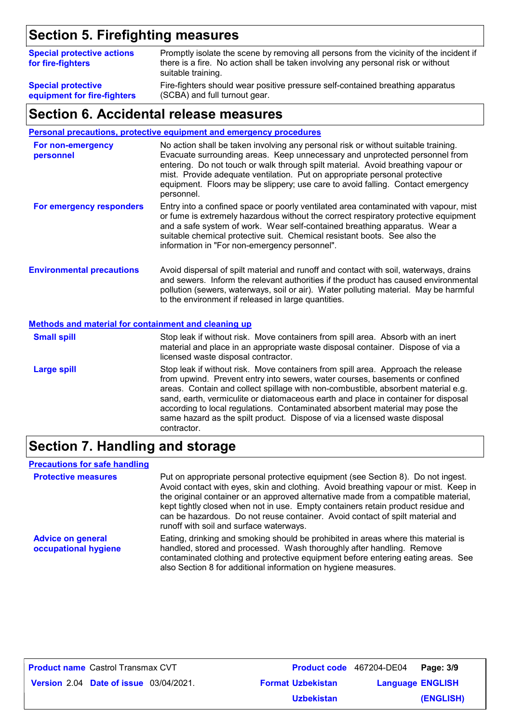### **Section 5. Firefighting measures**

| <b>Special protective actions</b><br>for fire-fighters | Promptly isolate the scene by removing all persons from the vicinity of the incident if<br>there is a fire. No action shall be taken involving any personal risk or without<br>suitable training. |
|--------------------------------------------------------|---------------------------------------------------------------------------------------------------------------------------------------------------------------------------------------------------|
| <b>Special protective</b>                              | Fire-fighters should wear positive pressure self-contained breathing apparatus                                                                                                                    |
| equipment for fire-fighters                            | (SCBA) and full turnout gear.                                                                                                                                                                     |

### **Section 6. Accidental release measures**

#### **Personal precautions, protective equipment and emergency procedures**

| For non-emergency<br>personnel   | No action shall be taken involving any personal risk or without suitable training.<br>Evacuate surrounding areas. Keep unnecessary and unprotected personnel from<br>entering. Do not touch or walk through spilt material. Avoid breathing vapour or<br>mist. Provide adequate ventilation. Put on appropriate personal protective<br>equipment. Floors may be slippery; use care to avoid falling. Contact emergency<br>personnel. |
|----------------------------------|--------------------------------------------------------------------------------------------------------------------------------------------------------------------------------------------------------------------------------------------------------------------------------------------------------------------------------------------------------------------------------------------------------------------------------------|
| For emergency responders         | Entry into a confined space or poorly ventilated area contaminated with vapour, mist<br>or fume is extremely hazardous without the correct respiratory protective equipment<br>and a safe system of work. Wear self-contained breathing apparatus. Wear a<br>suitable chemical protective suit. Chemical resistant boots. See also the<br>information in "For non-emergency personnel".                                              |
| <b>Environmental precautions</b> | Avoid dispersal of spilt material and runoff and contact with soil, waterways, drains<br>and sewers. Inform the relevant authorities if the product has caused environmental<br>pollution (sewers, waterways, soil or air). Water polluting material. May be harmful<br>to the environment if released in large quantities.                                                                                                          |

#### **Methods and material for containment and cleaning up**

| <b>Small spill</b> | Stop leak if without risk. Move containers from spill area. Absorb with an inert<br>material and place in an appropriate waste disposal container. Dispose of via a<br>licensed waste disposal contractor.                                                                                                                                                                                                                                                                                                               |
|--------------------|--------------------------------------------------------------------------------------------------------------------------------------------------------------------------------------------------------------------------------------------------------------------------------------------------------------------------------------------------------------------------------------------------------------------------------------------------------------------------------------------------------------------------|
| <b>Large spill</b> | Stop leak if without risk. Move containers from spill area. Approach the release<br>from upwind. Prevent entry into sewers, water courses, basements or confined<br>areas. Contain and collect spillage with non-combustible, absorbent material e.g.<br>sand, earth, vermiculite or diatomaceous earth and place in container for disposal<br>according to local regulations. Contaminated absorbent material may pose the<br>same hazard as the spilt product. Dispose of via a licensed waste disposal<br>contractor. |

### **Section 7. Handling and storage**

#### **Precautions for safe handling**

| <b>Protective measures</b>                       | Put on appropriate personal protective equipment (see Section 8). Do not ingest.<br>Avoid contact with eyes, skin and clothing. Avoid breathing vapour or mist. Keep in<br>the original container or an approved alternative made from a compatible material,<br>kept tightly closed when not in use. Empty containers retain product residue and<br>can be hazardous. Do not reuse container. Avoid contact of spilt material and<br>runoff with soil and surface waterways. |
|--------------------------------------------------|-------------------------------------------------------------------------------------------------------------------------------------------------------------------------------------------------------------------------------------------------------------------------------------------------------------------------------------------------------------------------------------------------------------------------------------------------------------------------------|
| <b>Advice on general</b><br>occupational hygiene | Eating, drinking and smoking should be prohibited in areas where this material is<br>handled, stored and processed. Wash thoroughly after handling. Remove<br>contaminated clothing and protective equipment before entering eating areas. See<br>also Section 8 for additional information on hygiene measures.                                                                                                                                                              |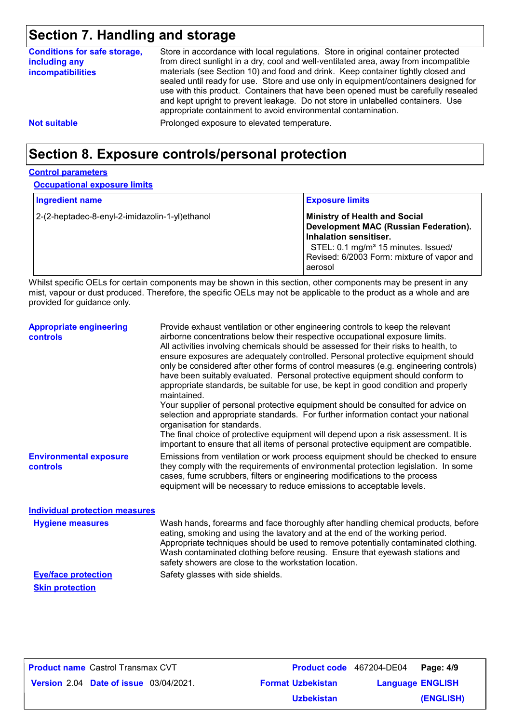### **Section 7. Handling and storage**

| <b>Conditions for safe storage,</b><br>including any<br><b>incompatibilities</b> | Store in accordance with local regulations. Store in original container protected<br>from direct sunlight in a dry, cool and well-ventilated area, away from incompatible<br>materials (see Section 10) and food and drink. Keep container tightly closed and<br>sealed until ready for use. Store and use only in equipment/containers designed for<br>use with this product. Containers that have been opened must be carefully resealed<br>and kept upright to prevent leakage. Do not store in unlabelled containers. Use<br>appropriate containment to avoid environmental contamination. |
|----------------------------------------------------------------------------------|------------------------------------------------------------------------------------------------------------------------------------------------------------------------------------------------------------------------------------------------------------------------------------------------------------------------------------------------------------------------------------------------------------------------------------------------------------------------------------------------------------------------------------------------------------------------------------------------|
| <b>Not suitable</b>                                                              | Prolonged exposure to elevated temperature.                                                                                                                                                                                                                                                                                                                                                                                                                                                                                                                                                    |

### **Section 8. Exposure controls/personal protection**

#### **Control parameters**

**Occupational exposure limits**

| <b>Ingredient name</b>                         | <b>Exposure limits</b>                                                                                                                                                                                              |
|------------------------------------------------|---------------------------------------------------------------------------------------------------------------------------------------------------------------------------------------------------------------------|
| 2-(2-heptadec-8-enyl-2-imidazolin-1-yl)ethanol | <b>Ministry of Health and Social</b><br>Development MAC (Russian Federation).<br>Inhalation sensitiser.<br>STEL: 0.1 mg/m <sup>3</sup> 15 minutes. Issued/<br>Revised: 6/2003 Form: mixture of vapor and<br>aerosol |

Whilst specific OELs for certain components may be shown in this section, other components may be present in any mist, vapour or dust produced. Therefore, the specific OELs may not be applicable to the product as a whole and are provided for guidance only.

| <b>Appropriate engineering</b><br><b>controls</b> | Provide exhaust ventilation or other engineering controls to keep the relevant<br>airborne concentrations below their respective occupational exposure limits.<br>All activities involving chemicals should be assessed for their risks to health, to<br>ensure exposures are adequately controlled. Personal protective equipment should<br>only be considered after other forms of control measures (e.g. engineering controls)<br>have been suitably evaluated. Personal protective equipment should conform to<br>appropriate standards, be suitable for use, be kept in good condition and properly<br>maintained.<br>Your supplier of personal protective equipment should be consulted for advice on<br>selection and appropriate standards. For further information contact your national<br>organisation for standards.<br>The final choice of protective equipment will depend upon a risk assessment. It is<br>important to ensure that all items of personal protective equipment are compatible. |
|---------------------------------------------------|---------------------------------------------------------------------------------------------------------------------------------------------------------------------------------------------------------------------------------------------------------------------------------------------------------------------------------------------------------------------------------------------------------------------------------------------------------------------------------------------------------------------------------------------------------------------------------------------------------------------------------------------------------------------------------------------------------------------------------------------------------------------------------------------------------------------------------------------------------------------------------------------------------------------------------------------------------------------------------------------------------------|
| <b>Environmental exposure</b><br><b>controls</b>  | Emissions from ventilation or work process equipment should be checked to ensure<br>they comply with the requirements of environmental protection legislation. In some<br>cases, fume scrubbers, filters or engineering modifications to the process<br>equipment will be necessary to reduce emissions to acceptable levels.                                                                                                                                                                                                                                                                                                                                                                                                                                                                                                                                                                                                                                                                                 |
| <b>Individual protection measures</b>             |                                                                                                                                                                                                                                                                                                                                                                                                                                                                                                                                                                                                                                                                                                                                                                                                                                                                                                                                                                                                               |
| <b>Hygiene measures</b>                           | Wash hands, forearms and face thoroughly after handling chemical products, before<br>eating, smoking and using the lavatory and at the end of the working period.<br>Appropriate techniques should be used to remove potentially contaminated clothing.<br>Wash contaminated clothing before reusing. Ensure that eyewash stations and<br>safety showers are close to the workstation location.                                                                                                                                                                                                                                                                                                                                                                                                                                                                                                                                                                                                               |

**Skin protection**

**Eye/face protection** Safety glasses with side shields.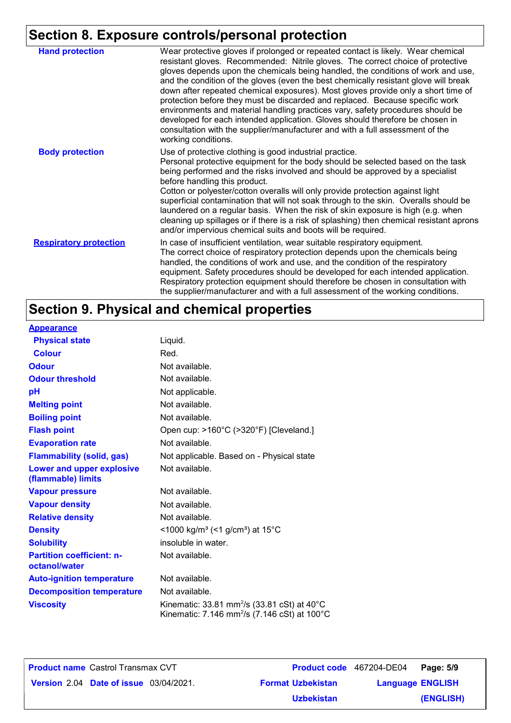### **Section 8. Exposure controls/personal protection**

| <b>Hand protection</b>        | Wear protective gloves if prolonged or repeated contact is likely. Wear chemical<br>resistant gloves. Recommended: Nitrile gloves. The correct choice of protective<br>gloves depends upon the chemicals being handled, the conditions of work and use,<br>and the condition of the gloves (even the best chemically resistant glove will break<br>down after repeated chemical exposures). Most gloves provide only a short time of<br>protection before they must be discarded and replaced. Because specific work<br>environments and material handling practices vary, safety procedures should be<br>developed for each intended application. Gloves should therefore be chosen in<br>consultation with the supplier/manufacturer and with a full assessment of the<br>working conditions. |
|-------------------------------|-------------------------------------------------------------------------------------------------------------------------------------------------------------------------------------------------------------------------------------------------------------------------------------------------------------------------------------------------------------------------------------------------------------------------------------------------------------------------------------------------------------------------------------------------------------------------------------------------------------------------------------------------------------------------------------------------------------------------------------------------------------------------------------------------|
| <b>Body protection</b>        | Use of protective clothing is good industrial practice.<br>Personal protective equipment for the body should be selected based on the task<br>being performed and the risks involved and should be approved by a specialist<br>before handling this product.<br>Cotton or polyester/cotton overalls will only provide protection against light<br>superficial contamination that will not soak through to the skin. Overalls should be<br>laundered on a regular basis. When the risk of skin exposure is high (e.g. when<br>cleaning up spillages or if there is a risk of splashing) then chemical resistant aprons<br>and/or impervious chemical suits and boots will be required.                                                                                                           |
| <b>Respiratory protection</b> | In case of insufficient ventilation, wear suitable respiratory equipment.<br>The correct choice of respiratory protection depends upon the chemicals being<br>handled, the conditions of work and use, and the condition of the respiratory<br>equipment. Safety procedures should be developed for each intended application.<br>Respiratory protection equipment should therefore be chosen in consultation with<br>the supplier/manufacturer and with a full assessment of the working conditions.                                                                                                                                                                                                                                                                                           |

## **Section 9. Physical and chemical properties**

| <b>Appearance</b>                                 |                                                                                                                                          |
|---------------------------------------------------|------------------------------------------------------------------------------------------------------------------------------------------|
| <b>Physical state</b>                             | Liquid.                                                                                                                                  |
| <b>Colour</b>                                     | Red.                                                                                                                                     |
| <b>Odour</b>                                      | Not available.                                                                                                                           |
| <b>Odour threshold</b>                            | Not available.                                                                                                                           |
| рH                                                | Not applicable.                                                                                                                          |
| <b>Melting point</b>                              | Not available.                                                                                                                           |
| <b>Boiling point</b>                              | Not available.                                                                                                                           |
| <b>Flash point</b>                                | Open cup: >160°C (>320°F) [Cleveland.]                                                                                                   |
| <b>Evaporation rate</b>                           | Not available.                                                                                                                           |
| <b>Flammability (solid, gas)</b>                  | Not applicable. Based on - Physical state                                                                                                |
| Lower and upper explosive<br>(flammable) limits   | Not available.                                                                                                                           |
| <b>Vapour pressure</b>                            | Not available.                                                                                                                           |
| <b>Vapour density</b>                             | Not available.                                                                                                                           |
| <b>Relative density</b>                           | Not available.                                                                                                                           |
| <b>Density</b>                                    | <1000 kg/m <sup>3</sup> (<1 g/cm <sup>3</sup> ) at 15°C                                                                                  |
| <b>Solubility</b>                                 | insoluble in water.                                                                                                                      |
| <b>Partition coefficient: n-</b><br>octanol/water | Not available.                                                                                                                           |
| <b>Auto-ignition temperature</b>                  | Not available.                                                                                                                           |
| <b>Decomposition temperature</b>                  | Not available.                                                                                                                           |
| <b>Viscosity</b>                                  | Kinematic: 33.81 mm <sup>2</sup> /s (33.81 cSt) at $40^{\circ}$ C<br>Kinematic: 7.146 mm <sup>2</sup> /s (7.146 cSt) at 100 $^{\circ}$ C |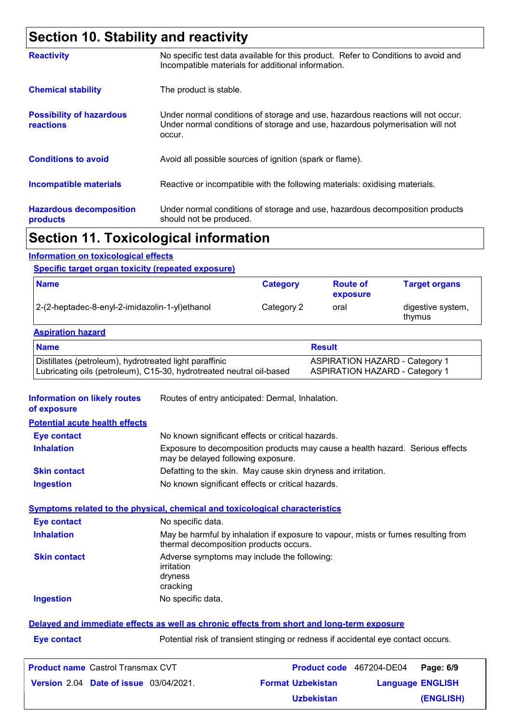## **Section 10. Stability and reactivity**

|                                                     | The continued to the contribution of the contribution of the contribution of the contribution of the                                                                       |
|-----------------------------------------------------|----------------------------------------------------------------------------------------------------------------------------------------------------------------------------|
| <b>Hazardous decomposition</b><br>products          | Under normal conditions of storage and use, hazardous decomposition products<br>should not be produced.                                                                    |
| <b>Incompatible materials</b>                       | Reactive or incompatible with the following materials: oxidising materials.                                                                                                |
| <b>Conditions to avoid</b>                          | Avoid all possible sources of ignition (spark or flame).                                                                                                                   |
| <b>Possibility of hazardous</b><br><b>reactions</b> | Under normal conditions of storage and use, hazardous reactions will not occur.<br>Under normal conditions of storage and use, hazardous polymerisation will not<br>occur. |
| <b>Chemical stability</b>                           | The product is stable.                                                                                                                                                     |
| <b>Reactivity</b>                                   | No specific test data available for this product. Refer to Conditions to avoid and<br>Incompatible materials for additional information.                                   |

### **Section 11. Toxicological information**

#### **Information on toxicological effects**

#### **Specific target organ toxicity (repeated exposure)**

| <b>Name</b>                                    | <b>Category</b> | <b>Route of</b><br>exposure | <b>Target organs</b>        |
|------------------------------------------------|-----------------|-----------------------------|-----------------------------|
| 2-(2-heptadec-8-enyl-2-imidazolin-1-yl)ethanol | Category 2      | oral                        | digestive system,<br>thymus |

#### **Aspiration hazard**

| <b>Name</b>                                                          | <b>Result</b>                         |
|----------------------------------------------------------------------|---------------------------------------|
| Distillates (petroleum), hydrotreated light paraffinic               | <b>ASPIRATION HAZARD - Category 1</b> |
| Lubricating oils (petroleum), C15-30, hydrotreated neutral oil-based | <b>ASPIRATION HAZARD - Category 1</b> |

**Information on likely routes**  Routes of entry anticipated: Dermal, Inhalation.

|  | of exposure |  |  |
|--|-------------|--|--|
|--|-------------|--|--|

| <b>Eve contact</b>  | No known significant effects or critical hazards.                                                                   |
|---------------------|---------------------------------------------------------------------------------------------------------------------|
| <b>Inhalation</b>   | Exposure to decomposition products may cause a health hazard. Serious effects<br>may be delayed following exposure. |
| <b>Skin contact</b> | Defatting to the skin. May cause skin dryness and irritation.                                                       |
| <b>Ingestion</b>    | No known significant effects or critical hazards.                                                                   |

#### **Symptoms related to the physical, chemical and toxicological characteristics**

| <b>Eye contact</b>  | No specific data.                                                                                                           |
|---------------------|-----------------------------------------------------------------------------------------------------------------------------|
| <b>Inhalation</b>   | May be harmful by inhalation if exposure to vapour, mists or fumes resulting from<br>thermal decomposition products occurs. |
| <b>Skin contact</b> | Adverse symptoms may include the following:<br>irritation<br>dryness<br>cracking                                            |
| <b>Ingestion</b>    | No specific data.                                                                                                           |
|                     |                                                                                                                             |

### **Delayed and immediate effects as well as chronic effects from short and long-term exposure**

**Eye contact Exercise 2018** Potential risk of transient stinging or redness if accidental eye contact occurs.

| <b>Product name</b> Castrol Transmax CVT      |                          | <b>Product code</b> 467204-DE04 Page: 6/9 |           |
|-----------------------------------------------|--------------------------|-------------------------------------------|-----------|
| <b>Version 2.04 Date of issue 03/04/2021.</b> | <b>Format Uzbekistan</b> | <b>Language ENGLISH</b>                   |           |
|                                               | <b>Uzbekistan</b>        |                                           | (ENGLISH) |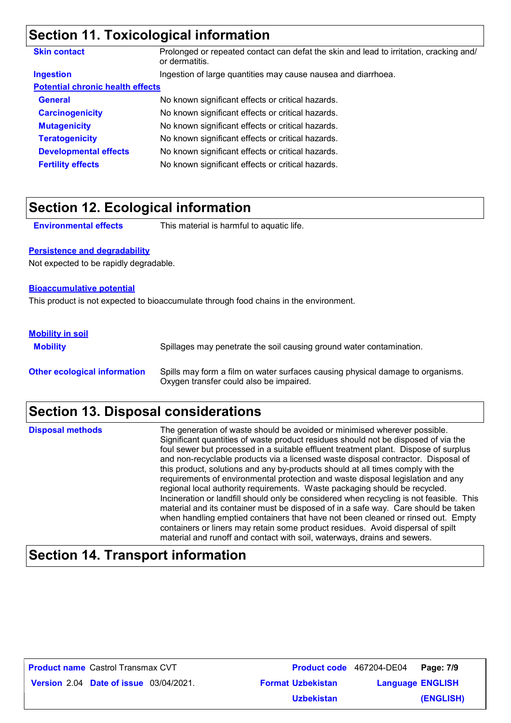### **Section 11. Toxicological information**

| <b>Skin contact</b>                     | Prolonged or repeated contact can defat the skin and lead to irritation, cracking and/<br>or dermatitis. |  |
|-----------------------------------------|----------------------------------------------------------------------------------------------------------|--|
| <b>Ingestion</b>                        | Ingestion of large quantities may cause nausea and diarrhoea.                                            |  |
| <b>Potential chronic health effects</b> |                                                                                                          |  |
| <b>General</b>                          | No known significant effects or critical hazards.                                                        |  |
| <b>Carcinogenicity</b>                  | No known significant effects or critical hazards.                                                        |  |
| <b>Mutagenicity</b>                     | No known significant effects or critical hazards.                                                        |  |
| <b>Teratogenicity</b>                   | No known significant effects or critical hazards.                                                        |  |
| <b>Developmental effects</b>            | No known significant effects or critical hazards.                                                        |  |
| <b>Fertility effects</b>                | No known significant effects or critical hazards.                                                        |  |

### **Section 12. Ecological information**

**Environmental effects** This material is harmful to aquatic life.

### **Persistence and degradability**

Not expected to be rapidly degradable.

#### **Bioaccumulative potential**

This product is not expected to bioaccumulate through food chains in the environment.

### **Mobility in soil**

**Mobility** Spillages may penetrate the soil causing ground water contamination. **Other ecological information** Spills may form a film on water surfaces causing physical damage to organisms. Oxygen transfer could also be impaired.

### **Section 13. Disposal considerations**

The generation of waste should be avoided or minimised wherever possible. Significant quantities of waste product residues should not be disposed of via the foul sewer but processed in a suitable effluent treatment plant. Dispose of surplus and non-recyclable products via a licensed waste disposal contractor. Disposal of this product, solutions and any by-products should at all times comply with the requirements of environmental protection and waste disposal legislation and any regional local authority requirements. Waste packaging should be recycled. Incineration or landfill should only be considered when recycling is not feasible. This material and its container must be disposed of in a safe way. Care should be taken when handling emptied containers that have not been cleaned or rinsed out. Empty containers or liners may retain some product residues. Avoid dispersal of spilt material and runoff and contact with soil, waterways, drains and sewers. **Disposal methods**

### **Section 14. Transport information**

| <b>Product name</b> Castrol Transmax CVT      |                          | Product code 467204-DE04 Page: 7/9 |           |
|-----------------------------------------------|--------------------------|------------------------------------|-----------|
| <b>Version 2.04 Date of issue 03/04/2021.</b> | <b>Format Uzbekistan</b> | <b>Language ENGLISH</b>            |           |
|                                               | <b>Uzbekistan</b>        |                                    | (ENGLISH) |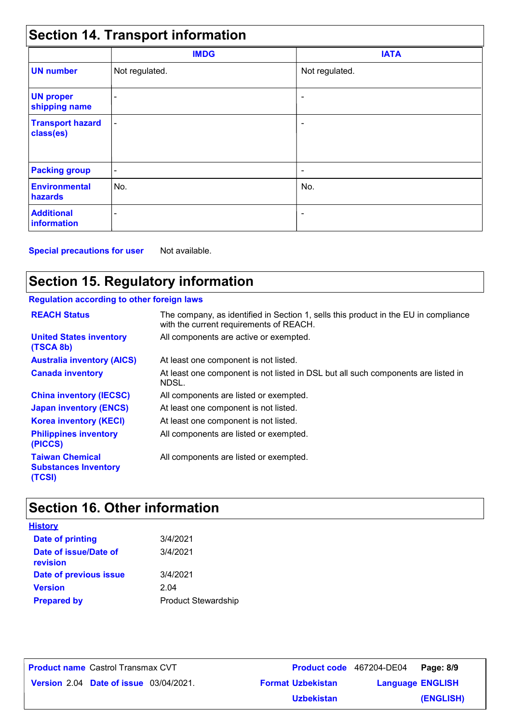| <b>Section 14. Transport information</b> |                          |                          |  |  |  |
|------------------------------------------|--------------------------|--------------------------|--|--|--|
|                                          | <b>IMDG</b>              | <b>IATA</b>              |  |  |  |
| <b>UN number</b>                         | Not regulated.           | Not regulated.           |  |  |  |
| <b>UN proper</b><br>shipping name        |                          |                          |  |  |  |
| <b>Transport hazard</b><br>class(es)     | $\overline{\phantom{a}}$ | ٠                        |  |  |  |
| <b>Packing group</b>                     | $\overline{\phantom{a}}$ | $\overline{\phantom{a}}$ |  |  |  |
| <b>Environmental</b><br>hazards          | No.                      | No.                      |  |  |  |
| <b>Additional</b><br>information         |                          | $\overline{\phantom{a}}$ |  |  |  |

**Special precautions for user** Not available.

### **Section 15. Regulatory information**

### **Regulation according to other foreign laws**

| <b>REACH Status</b>                                             | The company, as identified in Section 1, sells this product in the EU in compliance<br>with the current requirements of REACH. |
|-----------------------------------------------------------------|--------------------------------------------------------------------------------------------------------------------------------|
| <b>United States inventory</b><br>(TSCA 8b)                     | All components are active or exempted.                                                                                         |
| <b>Australia inventory (AICS)</b>                               | At least one component is not listed.                                                                                          |
| <b>Canada inventory</b>                                         | At least one component is not listed in DSL but all such components are listed in<br>NDSL.                                     |
| <b>China inventory (IECSC)</b>                                  | All components are listed or exempted.                                                                                         |
| <b>Japan inventory (ENCS)</b>                                   | At least one component is not listed.                                                                                          |
| <b>Korea inventory (KECI)</b>                                   | At least one component is not listed.                                                                                          |
| <b>Philippines inventory</b><br>(PICCS)                         | All components are listed or exempted.                                                                                         |
| <b>Taiwan Chemical</b><br><b>Substances Inventory</b><br>(TCSI) | All components are listed or exempted.                                                                                         |

## **Section 16. Other information**

| <u>History</u>                    |                            |
|-----------------------------------|----------------------------|
| Date of printing                  | 3/4/2021                   |
| Date of issue/Date of<br>revision | 3/4/2021                   |
| Date of previous issue            | 3/4/2021                   |
| <b>Version</b>                    | 2.04                       |
| <b>Prepared by</b>                | <b>Product Stewardship</b> |

**Date of issue** 03/04/2021. **Version** 2.04 **Format Uzbekistan Language** Castrol Transmax CVT **Page: 8/9** 467204-DE04 **Language ENGLISH (ENGLISH) Product name** Castrol Transmax CVT **Uzbekistan**